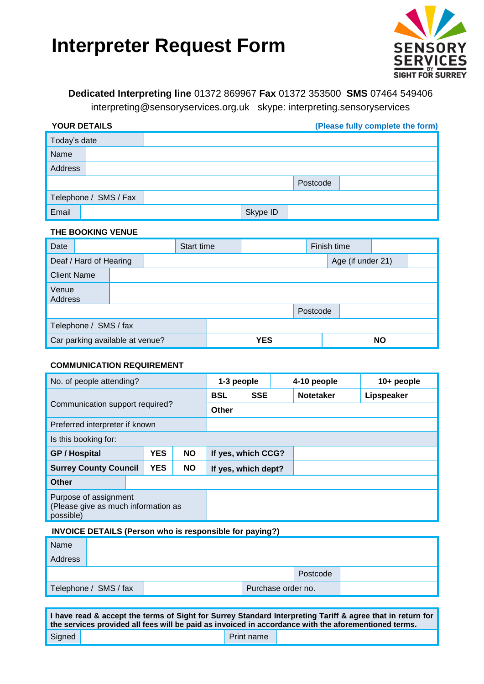# **Interpreter Request Form**



### **Dedicated Interpreting line** 01372 869967 **Fax** 01372 353500 **SMS** 07464 549406

interpreting@sensoryservices.org.uk skype: interpreting.sensoryservices

| <b>YOUR DETAILS</b>   |  |          | (Please fully complete the form) |  |  |
|-----------------------|--|----------|----------------------------------|--|--|
| Today's date          |  |          |                                  |  |  |
| Name                  |  |          |                                  |  |  |
| Address               |  |          |                                  |  |  |
|                       |  |          | Postcode                         |  |  |
| Telephone / SMS / Fax |  |          |                                  |  |  |
| Email                 |  | Skype ID |                                  |  |  |

#### **THE BOOKING VENUE**

| Date                            |                    |  |  | Start time |          | Finish time       |           |  |  |
|---------------------------------|--------------------|--|--|------------|----------|-------------------|-----------|--|--|
| Deaf / Hard of Hearing          |                    |  |  |            |          | Age (if under 21) |           |  |  |
|                                 | <b>Client Name</b> |  |  |            |          |                   |           |  |  |
| Venue<br>Address                |                    |  |  |            |          |                   |           |  |  |
|                                 |                    |  |  |            | Postcode |                   |           |  |  |
| Telephone / SMS / fax           |                    |  |  |            |          |                   |           |  |  |
| Car parking available at venue? |                    |  |  | <b>YES</b> |          |                   | <b>NO</b> |  |  |

#### **COMMUNICATION REQUIREMENT**

| No. of people attending?                                                  |            |            |                  | 1-3 people          |            |  | 4-10 people | 10+ people |  |
|---------------------------------------------------------------------------|------------|------------|------------------|---------------------|------------|--|-------------|------------|--|
|                                                                           | <b>BSL</b> | <b>SSE</b> | <b>Notetaker</b> |                     | Lipspeaker |  |             |            |  |
| Communication support required?                                           |            |            |                  | <b>Other</b>        |            |  |             |            |  |
| Preferred interpreter if known                                            |            |            |                  |                     |            |  |             |            |  |
| Is this booking for:                                                      |            |            |                  |                     |            |  |             |            |  |
| <b>YES</b><br><b>NO</b><br><b>GP / Hospital</b>                           |            |            |                  | If yes, which CCG?  |            |  |             |            |  |
| <b>Surrey County Council</b>                                              |            | <b>YES</b> | <b>NO</b>        | If yes, which dept? |            |  |             |            |  |
| Other                                                                     |            |            |                  |                     |            |  |             |            |  |
| Purpose of assignment<br>(Please give as much information as<br>possible) |            |            |                  |                     |            |  |             |            |  |

#### **INVOICE DETAILS (Person who is responsible for paying?)**

| Name                  |  |                    |  |          |  |
|-----------------------|--|--------------------|--|----------|--|
| Address               |  |                    |  |          |  |
|                       |  |                    |  | Postcode |  |
| Telephone / SMS / fax |  | Purchase order no. |  |          |  |

| I have read & accept the terms of Sight for Surrey Standard Interpreting Tariff & agree that in return for<br>the services provided all fees will be paid as invoiced in accordance with the aforementioned terms. |  |            |  |  |  |  |
|--------------------------------------------------------------------------------------------------------------------------------------------------------------------------------------------------------------------|--|------------|--|--|--|--|
| Signed                                                                                                                                                                                                             |  | Print name |  |  |  |  |